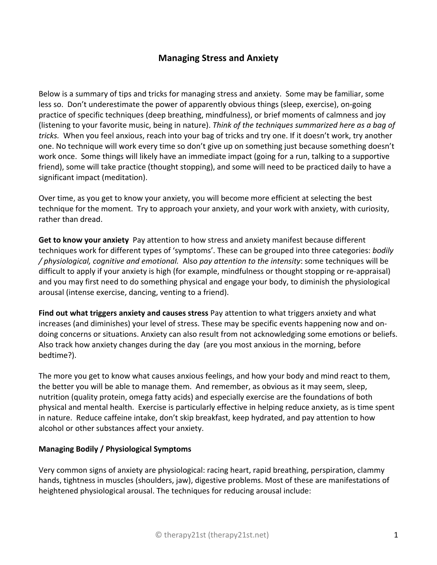# **Managing Stress and Anxiety**

Below is a summary of tips and tricks for managing stress and anxiety. Some may be familiar, some less so. Don't underestimate the power of apparently obvious things (sleep, exercise), on-going practice of specific techniques (deep breathing, mindfulness), or brief moments of calmness and joy (listening to your favorite music, being in nature). *Think of the techniques summarized here as a bag of tricks.* When you feel anxious, reach into your bag of tricks and try one. If it doesn't work, try another one. No technique will work every time so don't give up on something just because something doesn't work once. Some things will likely have an immediate impact (going for a run, talking to a supportive friend), some will take practice (thought stopping), and some will need to be practiced daily to have a significant impact (meditation).

Over time, as you get to know your anxiety, you will become more efficient at selecting the best technique for the moment. Try to approach your anxiety, and your work with anxiety, with curiosity, rather than dread.

**Get to know your anxiety** Pay attention to how stress and anxiety manifest because different techniques work for different types of 'symptoms'. These can be grouped into three categories: *bodily / physiological, cognitive and emotional.* Also *pay attention to the intensity*: some techniques will be difficult to apply if your anxiety is high (for example, mindfulness or thought stopping or re-appraisal) and you may first need to do something physical and engage your body, to diminish the physiological arousal (intense exercise, dancing, venting to a friend).

**Find out what triggers anxiety and causes stress** Pay attention to what triggers anxiety and what increases (and diminishes) your level of stress. These may be specific events happening now and ondoing concerns or situations. Anxiety can also result from not acknowledging some emotions or beliefs. Also track how anxiety changes during the day (are you most anxious in the morning, before bedtime?).

The more you get to know what causes anxious feelings, and how your body and mind react to them, the better you will be able to manage them. And remember, as obvious as it may seem, sleep, nutrition (quality protein, omega fatty acids) and especially exercise are the foundations of both physical and mental health. Exercise is particularly effective in helping reduce anxiety, as is time spent in nature. Reduce caffeine intake, don't skip breakfast, keep hydrated, and pay attention to how alcohol or other substances affect your anxiety.

## **Managing Bodily / Physiological Symptoms**

Very common signs of anxiety are physiological: racing heart, rapid breathing, perspiration, clammy hands, tightness in muscles (shoulders, jaw), digestive problems. Most of these are manifestations of heightened physiological arousal. The techniques for reducing arousal include: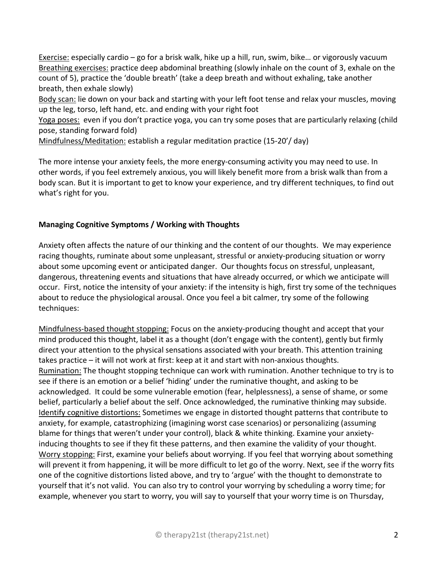Exercise: especially cardio – go for a brisk walk, hike up a hill, run, swim, bike… or vigorously vacuum Breathing exercises: practice deep abdominal breathing (slowly inhale on the count of 3, exhale on the count of 5), practice the 'double breath' (take a deep breath and without exhaling, take another breath, then exhale slowly)

Body scan: lie down on your back and starting with your left foot tense and relax your muscles, moving up the leg, torso, left hand, etc. and ending with your right foot

Yoga poses: even if you don't practice yoga, you can try some poses that are particularly relaxing (child pose, standing forward fold)

Mindfulness/Meditation: establish a regular meditation practice (15-20'/ day)

The more intense your anxiety feels, the more energy-consuming activity you may need to use. In other words, if you feel extremely anxious, you will likely benefit more from a brisk walk than from a body scan. But it is important to get to know your experience, and try different techniques, to find out what's right for you.

#### **Managing Cognitive Symptoms / Working with Thoughts**

Anxiety often affects the nature of our thinking and the content of our thoughts. We may experience racing thoughts, ruminate about some unpleasant, stressful or anxiety-producing situation or worry about some upcoming event or anticipated danger. Our thoughts focus on stressful, unpleasant, dangerous, threatening events and situations that have already occurred, or which we anticipate will occur. First, notice the intensity of your anxiety: if the intensity is high, first try some of the techniques about to reduce the physiological arousal. Once you feel a bit calmer, try some of the following techniques:

Mindfulness-based thought stopping: Focus on the anxiety-producing thought and accept that your mind produced this thought, label it as a thought (don't engage with the content), gently but firmly direct your attention to the physical sensations associated with your breath. This attention training takes practice – it will not work at first: keep at it and start with non-anxious thoughts. Rumination: The thought stopping technique can work with rumination. Another technique to try is to see if there is an emotion or a belief 'hiding' under the ruminative thought, and asking to be acknowledged. It could be some vulnerable emotion (fear, helplessness), a sense of shame, or some belief, particularly a belief about the self. Once acknowledged, the ruminative thinking may subside. Identify cognitive distortions: Sometimes we engage in distorted thought patterns that contribute to anxiety, for example, catastrophizing (imagining worst case scenarios) or personalizing (assuming blame for things that weren't under your control), black & white thinking. Examine your anxietyinducing thoughts to see if they fit these patterns, and then examine the validity of your thought. Worry stopping: First, examine your beliefs about worrying. If you feel that worrying about something will prevent it from happening, it will be more difficult to let go of the worry. Next, see if the worry fits one of the cognitive distortions listed above, and try to 'argue' with the thought to demonstrate to yourself that it's not valid. You can also try to control your worrying by scheduling a worry time; for example, whenever you start to worry, you will say to yourself that your worry time is on Thursday,